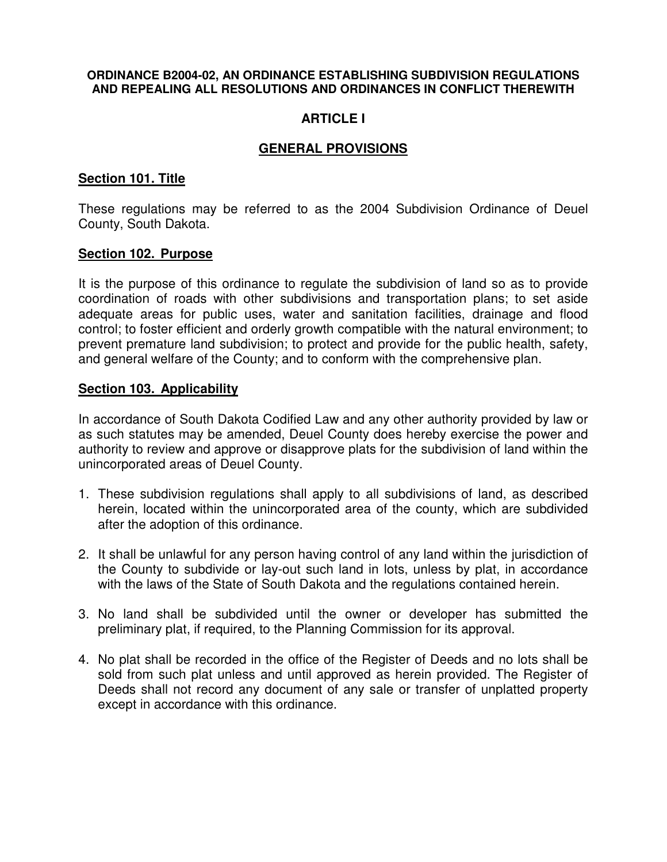#### **ORDINANCE B2004-02, AN ORDINANCE ESTABLISHING SUBDIVISION REGULATIONS AND REPEALING ALL RESOLUTIONS AND ORDINANCES IN CONFLICT THEREWITH**

# **ARTICLE I**

## **GENERAL PROVISIONS**

### **Section 101. Title**

These regulations may be referred to as the 2004 Subdivision Ordinance of Deuel County, South Dakota.

#### **Section 102. Purpose**

It is the purpose of this ordinance to regulate the subdivision of land so as to provide coordination of roads with other subdivisions and transportation plans; to set aside adequate areas for public uses, water and sanitation facilities, drainage and flood control; to foster efficient and orderly growth compatible with the natural environment; to prevent premature land subdivision; to protect and provide for the public health, safety, and general welfare of the County; and to conform with the comprehensive plan.

#### **Section 103. Applicability**

In accordance of South Dakota Codified Law and any other authority provided by law or as such statutes may be amended, Deuel County does hereby exercise the power and authority to review and approve or disapprove plats for the subdivision of land within the unincorporated areas of Deuel County.

- 1. These subdivision regulations shall apply to all subdivisions of land, as described herein, located within the unincorporated area of the county, which are subdivided after the adoption of this ordinance.
- 2. It shall be unlawful for any person having control of any land within the jurisdiction of the County to subdivide or lay-out such land in lots, unless by plat, in accordance with the laws of the State of South Dakota and the regulations contained herein.
- 3. No land shall be subdivided until the owner or developer has submitted the preliminary plat, if required, to the Planning Commission for its approval.
- 4. No plat shall be recorded in the office of the Register of Deeds and no lots shall be sold from such plat unless and until approved as herein provided. The Register of Deeds shall not record any document of any sale or transfer of unplatted property except in accordance with this ordinance.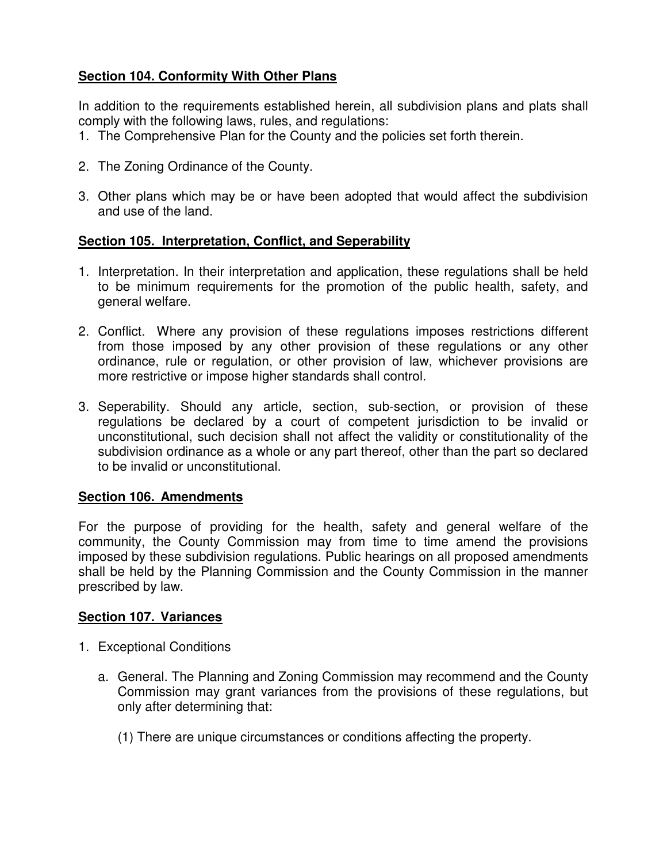# **Section 104. Conformity With Other Plans**

In addition to the requirements established herein, all subdivision plans and plats shall comply with the following laws, rules, and regulations:

- 1. The Comprehensive Plan for the County and the policies set forth therein.
- 2. The Zoning Ordinance of the County.
- 3. Other plans which may be or have been adopted that would affect the subdivision and use of the land.

## **Section 105. Interpretation, Conflict, and Seperability**

- 1. Interpretation. In their interpretation and application, these regulations shall be held to be minimum requirements for the promotion of the public health, safety, and general welfare.
- 2. Conflict. Where any provision of these regulations imposes restrictions different from those imposed by any other provision of these regulations or any other ordinance, rule or regulation, or other provision of law, whichever provisions are more restrictive or impose higher standards shall control.
- 3. Seperability. Should any article, section, sub-section, or provision of these regulations be declared by a court of competent jurisdiction to be invalid or unconstitutional, such decision shall not affect the validity or constitutionality of the subdivision ordinance as a whole or any part thereof, other than the part so declared to be invalid or unconstitutional.

### **Section 106. Amendments**

For the purpose of providing for the health, safety and general welfare of the community, the County Commission may from time to time amend the provisions imposed by these subdivision regulations. Public hearings on all proposed amendments shall be held by the Planning Commission and the County Commission in the manner prescribed by law.

### **Section 107. Variances**

- 1. Exceptional Conditions
	- a. General. The Planning and Zoning Commission may recommend and the County Commission may grant variances from the provisions of these regulations, but only after determining that:
		- (1) There are unique circumstances or conditions affecting the property.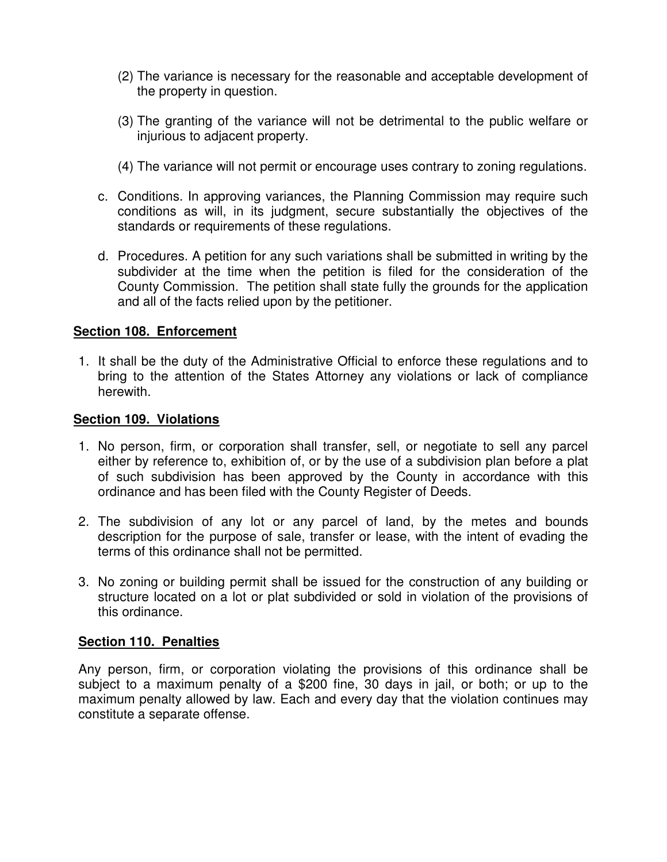- (2) The variance is necessary for the reasonable and acceptable development of the property in question.
- (3) The granting of the variance will not be detrimental to the public welfare or injurious to adjacent property.
- (4) The variance will not permit or encourage uses contrary to zoning regulations.
- c. Conditions. In approving variances, the Planning Commission may require such conditions as will, in its judgment, secure substantially the objectives of the standards or requirements of these regulations.
- d. Procedures. A petition for any such variations shall be submitted in writing by the subdivider at the time when the petition is filed for the consideration of the County Commission. The petition shall state fully the grounds for the application and all of the facts relied upon by the petitioner.

### **Section 108. Enforcement**

1. It shall be the duty of the Administrative Official to enforce these regulations and to bring to the attention of the States Attorney any violations or lack of compliance herewith.

#### **Section 109. Violations**

- 1. No person, firm, or corporation shall transfer, sell, or negotiate to sell any parcel either by reference to, exhibition of, or by the use of a subdivision plan before a plat of such subdivision has been approved by the County in accordance with this ordinance and has been filed with the County Register of Deeds.
- 2. The subdivision of any lot or any parcel of land, by the metes and bounds description for the purpose of sale, transfer or lease, with the intent of evading the terms of this ordinance shall not be permitted.
- 3. No zoning or building permit shall be issued for the construction of any building or structure located on a lot or plat subdivided or sold in violation of the provisions of this ordinance.

### **Section 110. Penalties**

Any person, firm, or corporation violating the provisions of this ordinance shall be subject to a maximum penalty of a \$200 fine, 30 days in jail, or both; or up to the maximum penalty allowed by law. Each and every day that the violation continues may constitute a separate offense.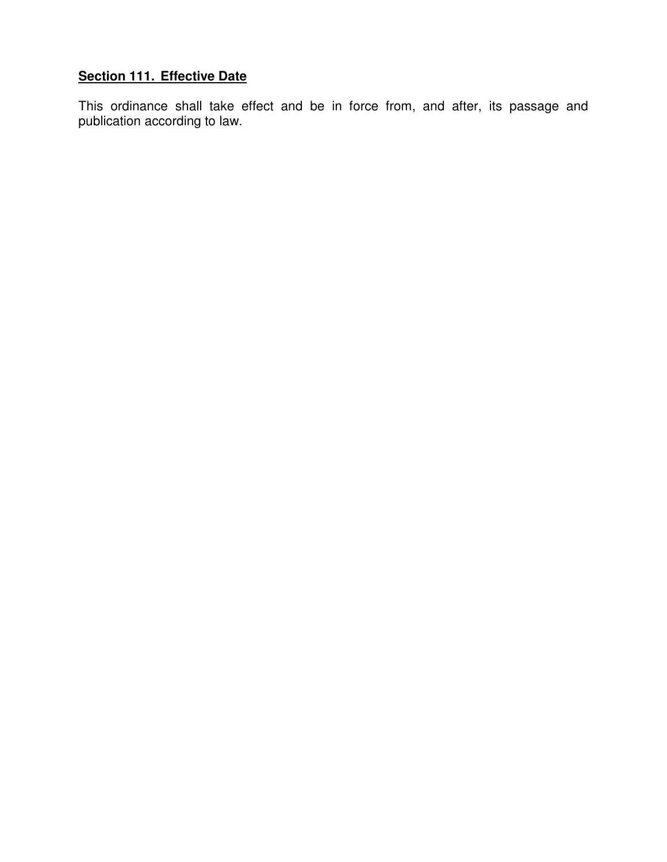# **Section 111. Effective Date**

This ordinance shall take effect and be in force from, and after, its passage and publication according to law.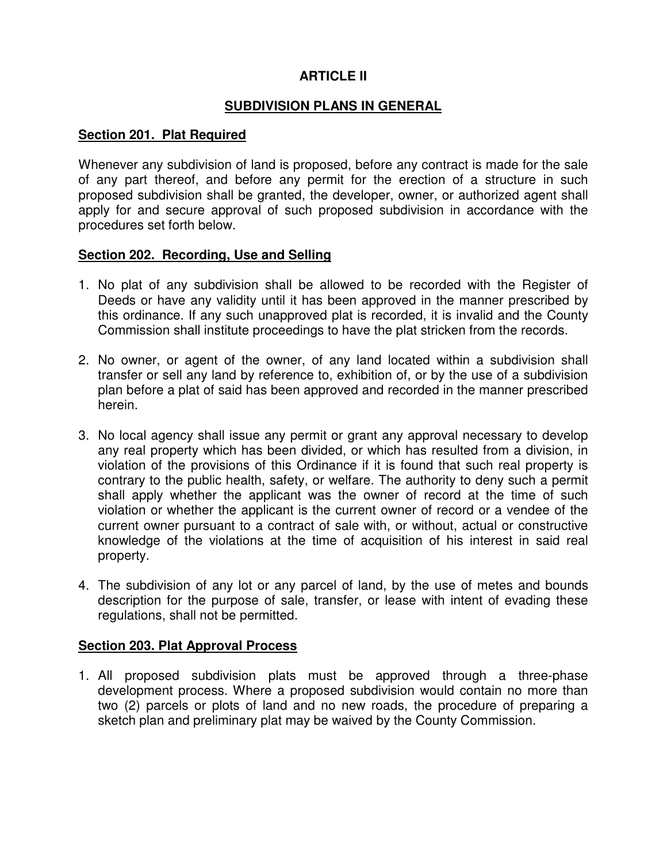# **ARTICLE II**

## **SUBDIVISION PLANS IN GENERAL**

### **Section 201. Plat Required**

Whenever any subdivision of land is proposed, before any contract is made for the sale of any part thereof, and before any permit for the erection of a structure in such proposed subdivision shall be granted, the developer, owner, or authorized agent shall apply for and secure approval of such proposed subdivision in accordance with the procedures set forth below.

#### **Section 202. Recording, Use and Selling**

- 1. No plat of any subdivision shall be allowed to be recorded with the Register of Deeds or have any validity until it has been approved in the manner prescribed by this ordinance. If any such unapproved plat is recorded, it is invalid and the County Commission shall institute proceedings to have the plat stricken from the records.
- 2. No owner, or agent of the owner, of any land located within a subdivision shall transfer or sell any land by reference to, exhibition of, or by the use of a subdivision plan before a plat of said has been approved and recorded in the manner prescribed herein.
- 3. No local agency shall issue any permit or grant any approval necessary to develop any real property which has been divided, or which has resulted from a division, in violation of the provisions of this Ordinance if it is found that such real property is contrary to the public health, safety, or welfare. The authority to deny such a permit shall apply whether the applicant was the owner of record at the time of such violation or whether the applicant is the current owner of record or a vendee of the current owner pursuant to a contract of sale with, or without, actual or constructive knowledge of the violations at the time of acquisition of his interest in said real property.
- 4. The subdivision of any lot or any parcel of land, by the use of metes and bounds description for the purpose of sale, transfer, or lease with intent of evading these regulations, shall not be permitted.

### **Section 203. Plat Approval Process**

1. All proposed subdivision plats must be approved through a three-phase development process. Where a proposed subdivision would contain no more than two (2) parcels or plots of land and no new roads, the procedure of preparing a sketch plan and preliminary plat may be waived by the County Commission.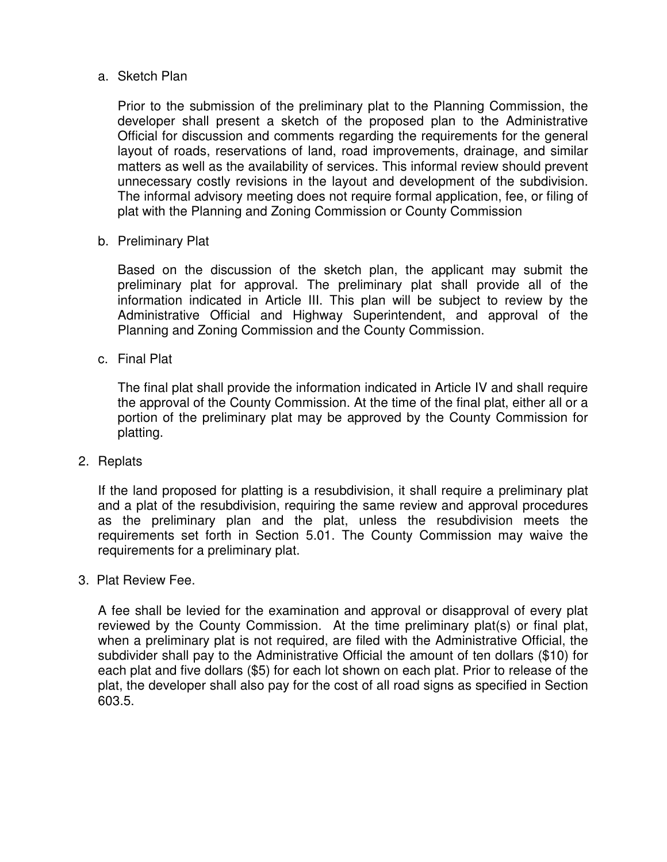#### a. Sketch Plan

Prior to the submission of the preliminary plat to the Planning Commission, the developer shall present a sketch of the proposed plan to the Administrative Official for discussion and comments regarding the requirements for the general layout of roads, reservations of land, road improvements, drainage, and similar matters as well as the availability of services. This informal review should prevent unnecessary costly revisions in the layout and development of the subdivision. The informal advisory meeting does not require formal application, fee, or filing of plat with the Planning and Zoning Commission or County Commission

b. Preliminary Plat

Based on the discussion of the sketch plan, the applicant may submit the preliminary plat for approval. The preliminary plat shall provide all of the information indicated in Article III. This plan will be subject to review by the Administrative Official and Highway Superintendent, and approval of the Planning and Zoning Commission and the County Commission.

c. Final Plat

The final plat shall provide the information indicated in Article IV and shall require the approval of the County Commission. At the time of the final plat, either all or a portion of the preliminary plat may be approved by the County Commission for platting.

2. Replats

If the land proposed for platting is a resubdivision, it shall require a preliminary plat and a plat of the resubdivision, requiring the same review and approval procedures as the preliminary plan and the plat, unless the resubdivision meets the requirements set forth in Section 5.01. The County Commission may waive the requirements for a preliminary plat.

3. Plat Review Fee.

A fee shall be levied for the examination and approval or disapproval of every plat reviewed by the County Commission. At the time preliminary plat(s) or final plat, when a preliminary plat is not required, are filed with the Administrative Official, the subdivider shall pay to the Administrative Official the amount of ten dollars (\$10) for each plat and five dollars (\$5) for each lot shown on each plat. Prior to release of the plat, the developer shall also pay for the cost of all road signs as specified in Section 603.5.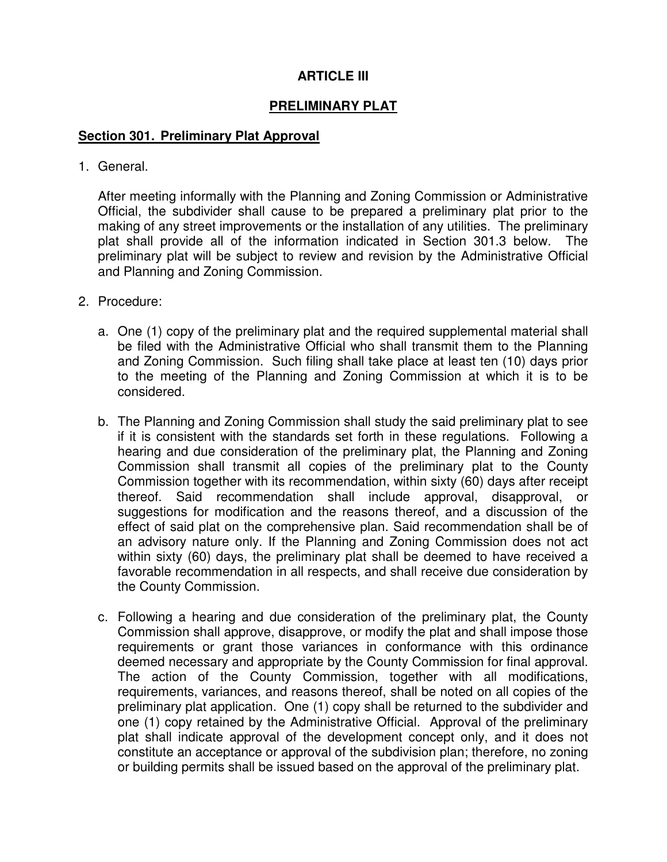# **ARTICLE III**

# **PRELIMINARY PLAT**

### **Section 301. Preliminary Plat Approval**

1. General.

After meeting informally with the Planning and Zoning Commission or Administrative Official, the subdivider shall cause to be prepared a preliminary plat prior to the making of any street improvements or the installation of any utilities. The preliminary plat shall provide all of the information indicated in Section 301.3 below. The preliminary plat will be subject to review and revision by the Administrative Official and Planning and Zoning Commission.

- 2. Procedure:
	- a. One (1) copy of the preliminary plat and the required supplemental material shall be filed with the Administrative Official who shall transmit them to the Planning and Zoning Commission. Such filing shall take place at least ten (10) days prior to the meeting of the Planning and Zoning Commission at which it is to be considered.
	- b. The Planning and Zoning Commission shall study the said preliminary plat to see if it is consistent with the standards set forth in these regulations. Following a hearing and due consideration of the preliminary plat, the Planning and Zoning Commission shall transmit all copies of the preliminary plat to the County Commission together with its recommendation, within sixty (60) days after receipt thereof. Said recommendation shall include approval, disapproval, or suggestions for modification and the reasons thereof, and a discussion of the effect of said plat on the comprehensive plan. Said recommendation shall be of an advisory nature only. If the Planning and Zoning Commission does not act within sixty (60) days, the preliminary plat shall be deemed to have received a favorable recommendation in all respects, and shall receive due consideration by the County Commission.
	- c. Following a hearing and due consideration of the preliminary plat, the County Commission shall approve, disapprove, or modify the plat and shall impose those requirements or grant those variances in conformance with this ordinance deemed necessary and appropriate by the County Commission for final approval. The action of the County Commission, together with all modifications, requirements, variances, and reasons thereof, shall be noted on all copies of the preliminary plat application. One (1) copy shall be returned to the subdivider and one (1) copy retained by the Administrative Official. Approval of the preliminary plat shall indicate approval of the development concept only, and it does not constitute an acceptance or approval of the subdivision plan; therefore, no zoning or building permits shall be issued based on the approval of the preliminary plat.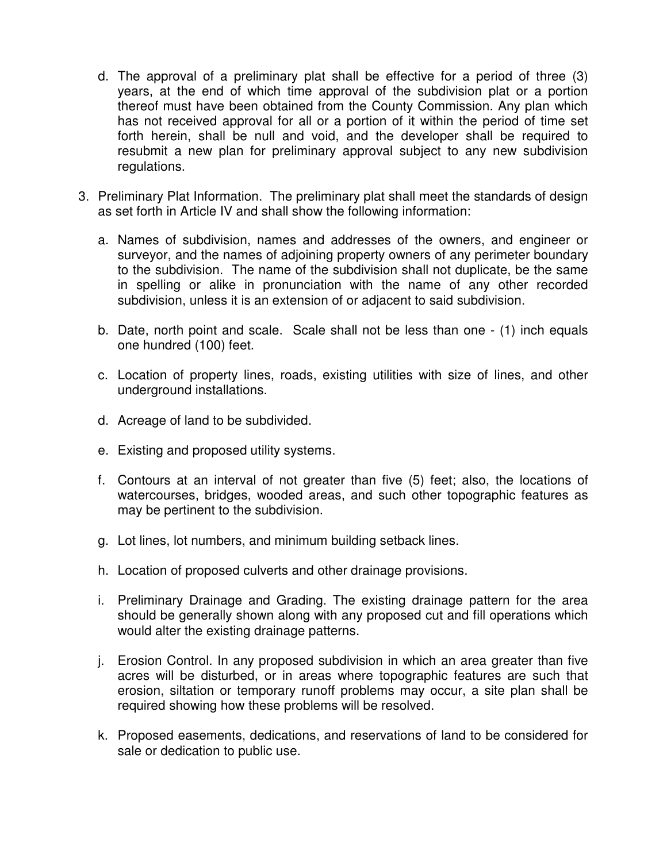- d. The approval of a preliminary plat shall be effective for a period of three (3) years, at the end of which time approval of the subdivision plat or a portion thereof must have been obtained from the County Commission. Any plan which has not received approval for all or a portion of it within the period of time set forth herein, shall be null and void, and the developer shall be required to resubmit a new plan for preliminary approval subject to any new subdivision regulations.
- 3. Preliminary Plat Information. The preliminary plat shall meet the standards of design as set forth in Article IV and shall show the following information:
	- a. Names of subdivision, names and addresses of the owners, and engineer or surveyor, and the names of adjoining property owners of any perimeter boundary to the subdivision. The name of the subdivision shall not duplicate, be the same in spelling or alike in pronunciation with the name of any other recorded subdivision, unless it is an extension of or adjacent to said subdivision.
	- b. Date, north point and scale. Scale shall not be less than one (1) inch equals one hundred (100) feet.
	- c. Location of property lines, roads, existing utilities with size of lines, and other underground installations.
	- d. Acreage of land to be subdivided.
	- e. Existing and proposed utility systems.
	- f. Contours at an interval of not greater than five (5) feet; also, the locations of watercourses, bridges, wooded areas, and such other topographic features as may be pertinent to the subdivision.
	- g. Lot lines, lot numbers, and minimum building setback lines.
	- h. Location of proposed culverts and other drainage provisions.
	- i. Preliminary Drainage and Grading. The existing drainage pattern for the area should be generally shown along with any proposed cut and fill operations which would alter the existing drainage patterns.
	- j. Erosion Control. In any proposed subdivision in which an area greater than five acres will be disturbed, or in areas where topographic features are such that erosion, siltation or temporary runoff problems may occur, a site plan shall be required showing how these problems will be resolved.
	- k. Proposed easements, dedications, and reservations of land to be considered for sale or dedication to public use.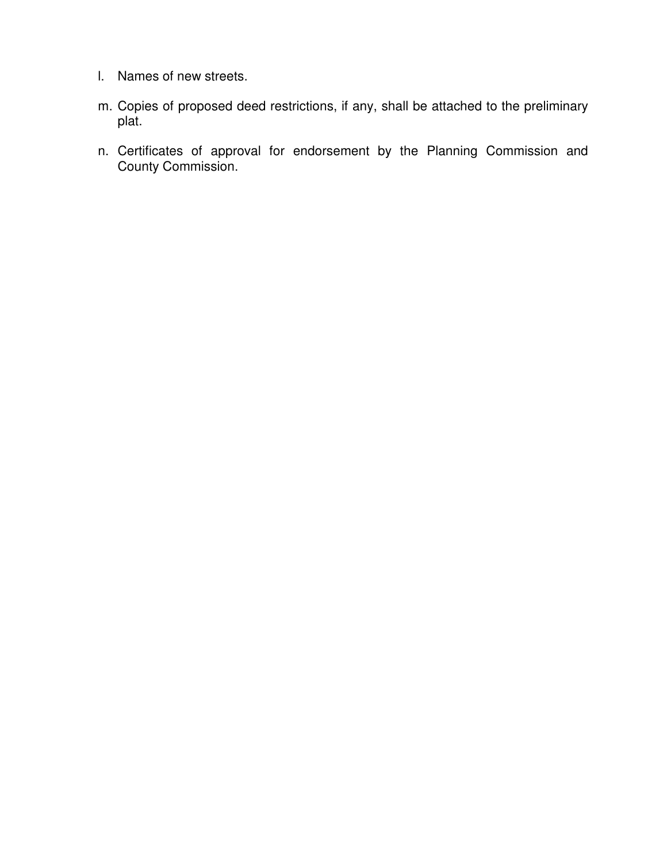- l. Names of new streets.
- m. Copies of proposed deed restrictions, if any, shall be attached to the preliminary plat.
- n. Certificates of approval for endorsement by the Planning Commission and County Commission.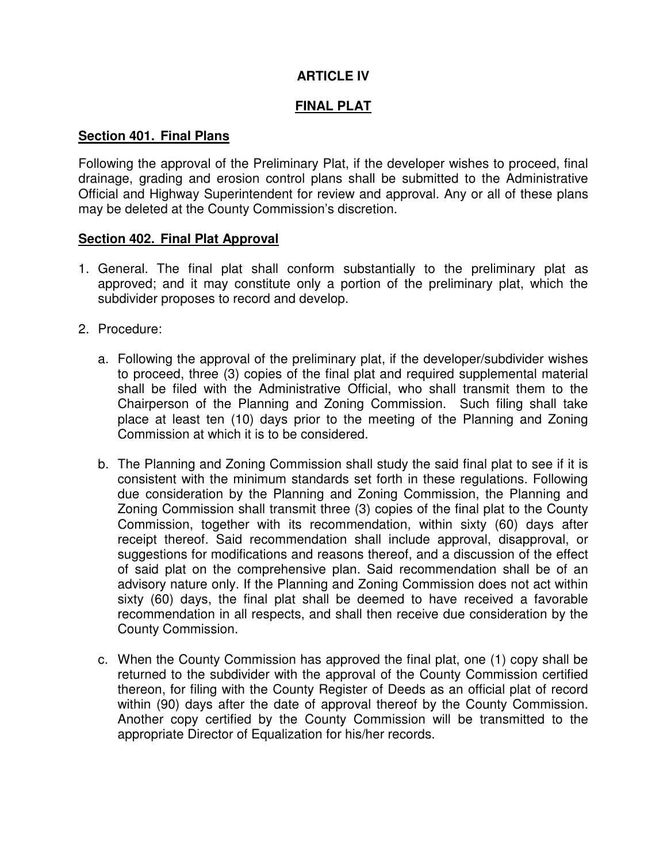# **ARTICLE IV**

## **FINAL PLAT**

#### **Section 401. Final Plans**

Following the approval of the Preliminary Plat, if the developer wishes to proceed, final drainage, grading and erosion control plans shall be submitted to the Administrative Official and Highway Superintendent for review and approval. Any or all of these plans may be deleted at the County Commission's discretion.

#### **Section 402. Final Plat Approval**

- 1. General. The final plat shall conform substantially to the preliminary plat as approved; and it may constitute only a portion of the preliminary plat, which the subdivider proposes to record and develop.
- 2. Procedure:
	- a. Following the approval of the preliminary plat, if the developer/subdivider wishes to proceed, three (3) copies of the final plat and required supplemental material shall be filed with the Administrative Official, who shall transmit them to the Chairperson of the Planning and Zoning Commission. Such filing shall take place at least ten (10) days prior to the meeting of the Planning and Zoning Commission at which it is to be considered.
	- b. The Planning and Zoning Commission shall study the said final plat to see if it is consistent with the minimum standards set forth in these regulations. Following due consideration by the Planning and Zoning Commission, the Planning and Zoning Commission shall transmit three (3) copies of the final plat to the County Commission, together with its recommendation, within sixty (60) days after receipt thereof. Said recommendation shall include approval, disapproval, or suggestions for modifications and reasons thereof, and a discussion of the effect of said plat on the comprehensive plan. Said recommendation shall be of an advisory nature only. If the Planning and Zoning Commission does not act within sixty (60) days, the final plat shall be deemed to have received a favorable recommendation in all respects, and shall then receive due consideration by the County Commission.
	- c. When the County Commission has approved the final plat, one (1) copy shall be returned to the subdivider with the approval of the County Commission certified thereon, for filing with the County Register of Deeds as an official plat of record within (90) days after the date of approval thereof by the County Commission. Another copy certified by the County Commission will be transmitted to the appropriate Director of Equalization for his/her records.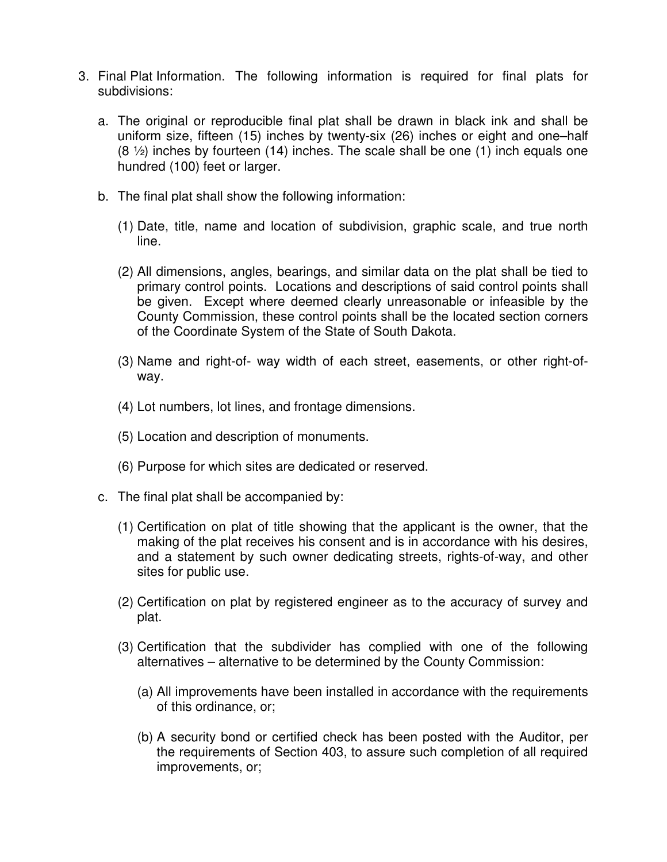- 3. Final Plat Information. The following information is required for final plats for subdivisions:
	- a. The original or reproducible final plat shall be drawn in black ink and shall be uniform size, fifteen (15) inches by twenty-six (26) inches or eight and one–half (8 ½) inches by fourteen (14) inches. The scale shall be one (1) inch equals one hundred (100) feet or larger.
	- b. The final plat shall show the following information:
		- (1) Date, title, name and location of subdivision, graphic scale, and true north line.
		- (2) All dimensions, angles, bearings, and similar data on the plat shall be tied to primary control points. Locations and descriptions of said control points shall be given. Except where deemed clearly unreasonable or infeasible by the County Commission, these control points shall be the located section corners of the Coordinate System of the State of South Dakota.
		- (3) Name and right-of- way width of each street, easements, or other right-ofway.
		- (4) Lot numbers, lot lines, and frontage dimensions.
		- (5) Location and description of monuments.
		- (6) Purpose for which sites are dedicated or reserved.
	- c. The final plat shall be accompanied by:
		- (1) Certification on plat of title showing that the applicant is the owner, that the making of the plat receives his consent and is in accordance with his desires, and a statement by such owner dedicating streets, rights-of-way, and other sites for public use.
		- (2) Certification on plat by registered engineer as to the accuracy of survey and plat.
		- (3) Certification that the subdivider has complied with one of the following alternatives – alternative to be determined by the County Commission:
			- (a) All improvements have been installed in accordance with the requirements of this ordinance, or;
			- (b) A security bond or certified check has been posted with the Auditor, per the requirements of Section 403, to assure such completion of all required improvements, or;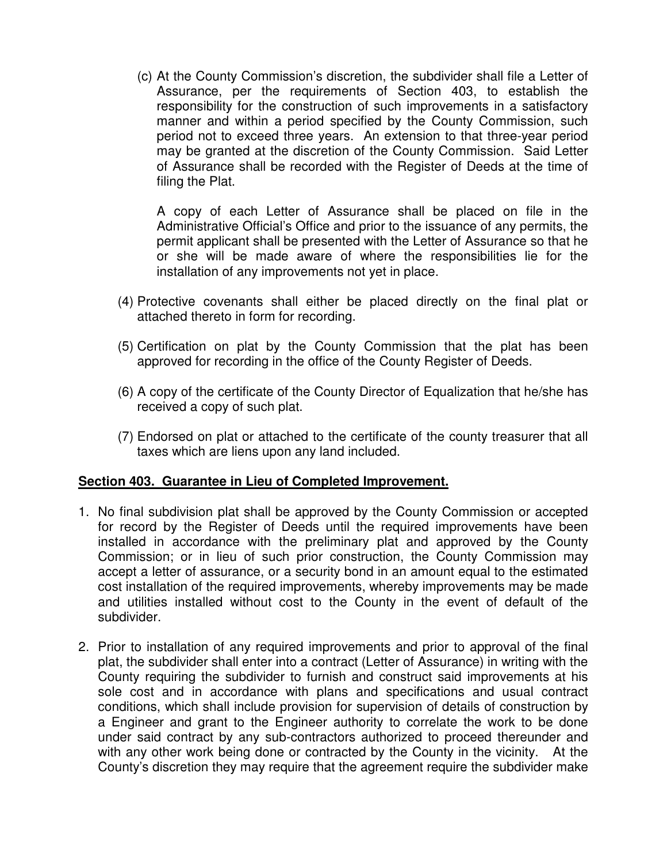(c) At the County Commission's discretion, the subdivider shall file a Letter of Assurance, per the requirements of Section 403, to establish the responsibility for the construction of such improvements in a satisfactory manner and within a period specified by the County Commission, such period not to exceed three years. An extension to that three-year period may be granted at the discretion of the County Commission. Said Letter of Assurance shall be recorded with the Register of Deeds at the time of filing the Plat.

A copy of each Letter of Assurance shall be placed on file in the Administrative Official's Office and prior to the issuance of any permits, the permit applicant shall be presented with the Letter of Assurance so that he or she will be made aware of where the responsibilities lie for the installation of any improvements not yet in place.

- (4) Protective covenants shall either be placed directly on the final plat or attached thereto in form for recording.
- (5) Certification on plat by the County Commission that the plat has been approved for recording in the office of the County Register of Deeds.
- (6) A copy of the certificate of the County Director of Equalization that he/she has received a copy of such plat.
- (7) Endorsed on plat or attached to the certificate of the county treasurer that all taxes which are liens upon any land included.

### **Section 403. Guarantee in Lieu of Completed Improvement.**

- 1. No final subdivision plat shall be approved by the County Commission or accepted for record by the Register of Deeds until the required improvements have been installed in accordance with the preliminary plat and approved by the County Commission; or in lieu of such prior construction, the County Commission may accept a letter of assurance, or a security bond in an amount equal to the estimated cost installation of the required improvements, whereby improvements may be made and utilities installed without cost to the County in the event of default of the subdivider.
- 2. Prior to installation of any required improvements and prior to approval of the final plat, the subdivider shall enter into a contract (Letter of Assurance) in writing with the County requiring the subdivider to furnish and construct said improvements at his sole cost and in accordance with plans and specifications and usual contract conditions, which shall include provision for supervision of details of construction by a Engineer and grant to the Engineer authority to correlate the work to be done under said contract by any sub-contractors authorized to proceed thereunder and with any other work being done or contracted by the County in the vicinity. At the County's discretion they may require that the agreement require the subdivider make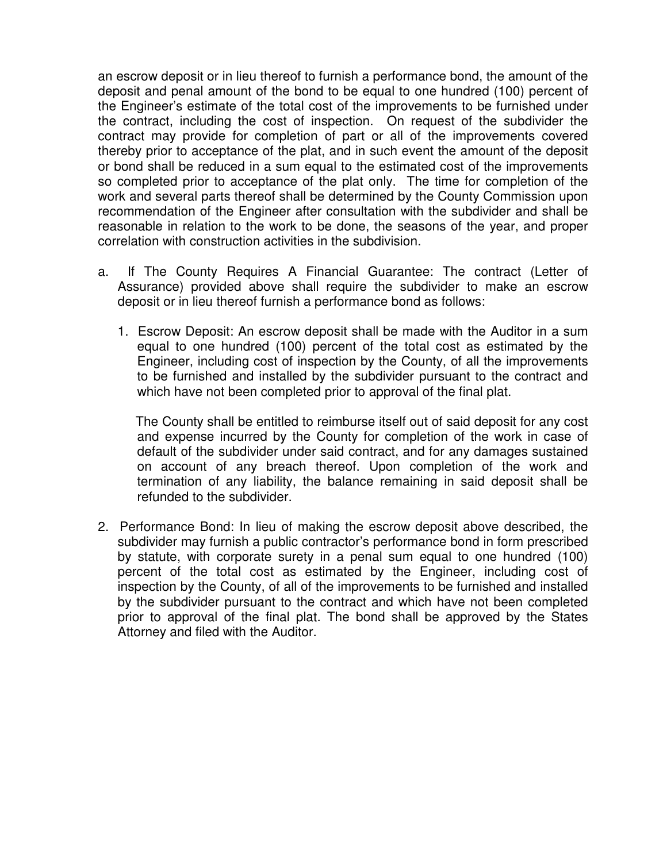an escrow deposit or in lieu thereof to furnish a performance bond, the amount of the deposit and penal amount of the bond to be equal to one hundred (100) percent of the Engineer's estimate of the total cost of the improvements to be furnished under the contract, including the cost of inspection. On request of the subdivider the contract may provide for completion of part or all of the improvements covered thereby prior to acceptance of the plat, and in such event the amount of the deposit or bond shall be reduced in a sum equal to the estimated cost of the improvements so completed prior to acceptance of the plat only. The time for completion of the work and several parts thereof shall be determined by the County Commission upon recommendation of the Engineer after consultation with the subdivider and shall be reasonable in relation to the work to be done, the seasons of the year, and proper correlation with construction activities in the subdivision.

- a. If The County Requires A Financial Guarantee: The contract (Letter of Assurance) provided above shall require the subdivider to make an escrow deposit or in lieu thereof furnish a performance bond as follows:
	- 1. Escrow Deposit: An escrow deposit shall be made with the Auditor in a sum equal to one hundred (100) percent of the total cost as estimated by the Engineer, including cost of inspection by the County, of all the improvements to be furnished and installed by the subdivider pursuant to the contract and which have not been completed prior to approval of the final plat.

The County shall be entitled to reimburse itself out of said deposit for any cost and expense incurred by the County for completion of the work in case of default of the subdivider under said contract, and for any damages sustained on account of any breach thereof. Upon completion of the work and termination of any liability, the balance remaining in said deposit shall be refunded to the subdivider.

2. Performance Bond: In lieu of making the escrow deposit above described, the subdivider may furnish a public contractor's performance bond in form prescribed by statute, with corporate surety in a penal sum equal to one hundred (100) percent of the total cost as estimated by the Engineer, including cost of inspection by the County, of all of the improvements to be furnished and installed by the subdivider pursuant to the contract and which have not been completed prior to approval of the final plat. The bond shall be approved by the States Attorney and filed with the Auditor.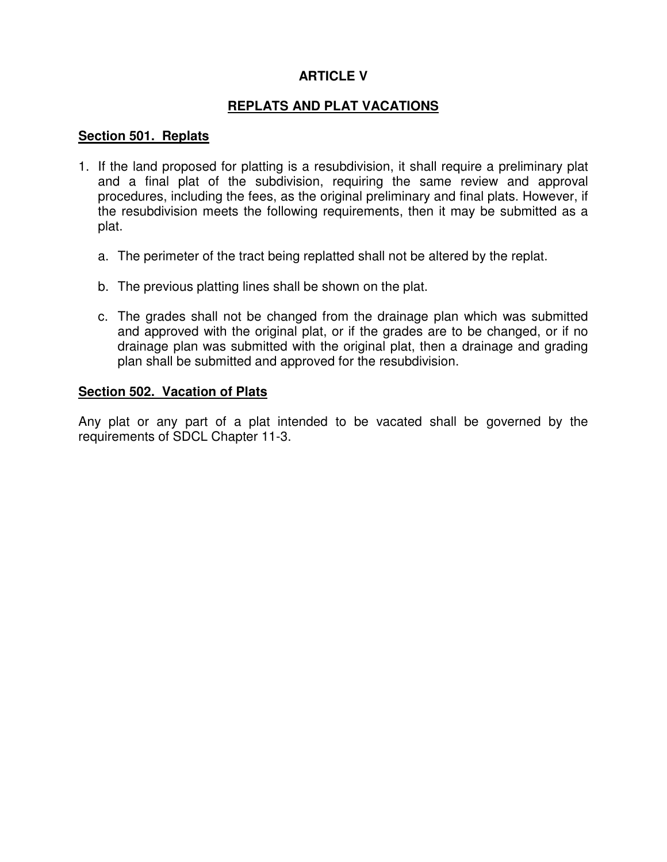# **ARTICLE V**

## **REPLATS AND PLAT VACATIONS**

#### **Section 501. Replats**

- 1. If the land proposed for platting is a resubdivision, it shall require a preliminary plat and a final plat of the subdivision, requiring the same review and approval procedures, including the fees, as the original preliminary and final plats. However, if the resubdivision meets the following requirements, then it may be submitted as a plat.
	- a. The perimeter of the tract being replatted shall not be altered by the replat.
	- b. The previous platting lines shall be shown on the plat.
	- c. The grades shall not be changed from the drainage plan which was submitted and approved with the original plat, or if the grades are to be changed, or if no drainage plan was submitted with the original plat, then a drainage and grading plan shall be submitted and approved for the resubdivision.

#### **Section 502. Vacation of Plats**

Any plat or any part of a plat intended to be vacated shall be governed by the requirements of SDCL Chapter 11-3.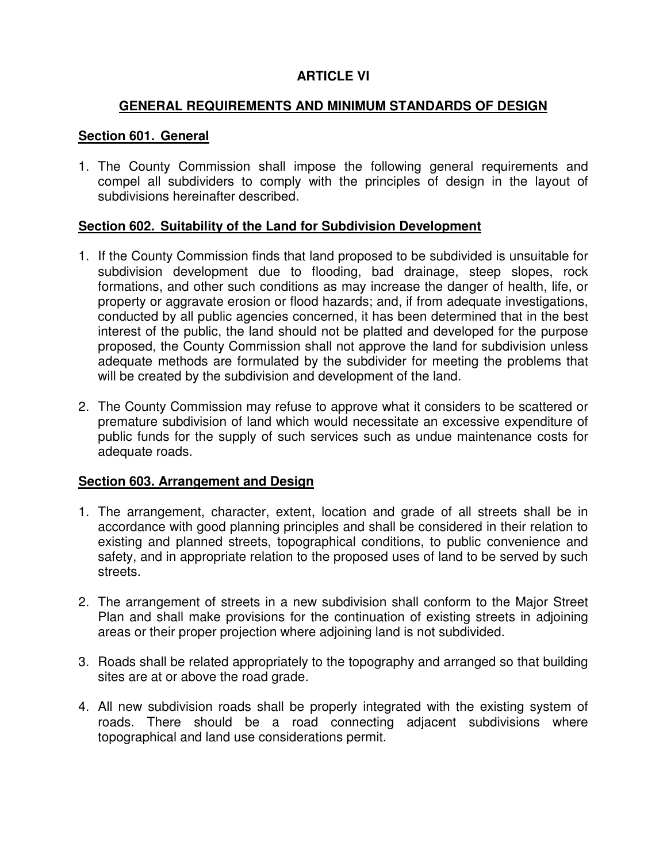# **ARTICLE VI**

### **GENERAL REQUIREMENTS AND MINIMUM STANDARDS OF DESIGN**

#### **Section 601. General**

1. The County Commission shall impose the following general requirements and compel all subdividers to comply with the principles of design in the layout of subdivisions hereinafter described.

### **Section 602. Suitability of the Land for Subdivision Development**

- 1. If the County Commission finds that land proposed to be subdivided is unsuitable for subdivision development due to flooding, bad drainage, steep slopes, rock formations, and other such conditions as may increase the danger of health, life, or property or aggravate erosion or flood hazards; and, if from adequate investigations, conducted by all public agencies concerned, it has been determined that in the best interest of the public, the land should not be platted and developed for the purpose proposed, the County Commission shall not approve the land for subdivision unless adequate methods are formulated by the subdivider for meeting the problems that will be created by the subdivision and development of the land.
- 2. The County Commission may refuse to approve what it considers to be scattered or premature subdivision of land which would necessitate an excessive expenditure of public funds for the supply of such services such as undue maintenance costs for adequate roads.

### **Section 603. Arrangement and Design**

- 1. The arrangement, character, extent, location and grade of all streets shall be in accordance with good planning principles and shall be considered in their relation to existing and planned streets, topographical conditions, to public convenience and safety, and in appropriate relation to the proposed uses of land to be served by such streets.
- 2. The arrangement of streets in a new subdivision shall conform to the Major Street Plan and shall make provisions for the continuation of existing streets in adjoining areas or their proper projection where adjoining land is not subdivided.
- 3. Roads shall be related appropriately to the topography and arranged so that building sites are at or above the road grade.
- 4. All new subdivision roads shall be properly integrated with the existing system of roads. There should be a road connecting adjacent subdivisions where topographical and land use considerations permit.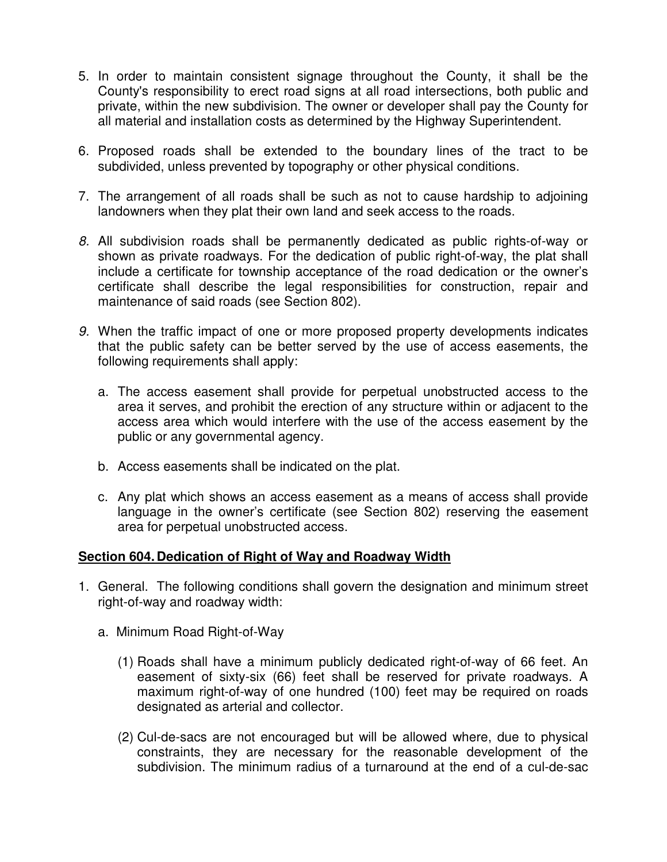- 5. In order to maintain consistent signage throughout the County, it shall be the County's responsibility to erect road signs at all road intersections, both public and private, within the new subdivision. The owner or developer shall pay the County for all material and installation costs as determined by the Highway Superintendent.
- 6. Proposed roads shall be extended to the boundary lines of the tract to be subdivided, unless prevented by topography or other physical conditions.
- 7. The arrangement of all roads shall be such as not to cause hardship to adjoining landowners when they plat their own land and seek access to the roads.
- *8.* All subdivision roads shall be permanently dedicated as public rights-of-way or shown as private roadways. For the dedication of public right-of-way, the plat shall include a certificate for township acceptance of the road dedication or the owner's certificate shall describe the legal responsibilities for construction, repair and maintenance of said roads (see Section 802).
- *9.* When the traffic impact of one or more proposed property developments indicates that the public safety can be better served by the use of access easements, the following requirements shall apply:
	- a. The access easement shall provide for perpetual unobstructed access to the area it serves, and prohibit the erection of any structure within or adjacent to the access area which would interfere with the use of the access easement by the public or any governmental agency.
	- b. Access easements shall be indicated on the plat.
	- c. Any plat which shows an access easement as a means of access shall provide language in the owner's certificate (see Section 802) reserving the easement area for perpetual unobstructed access.

### **Section 604. Dedication of Right of Way and Roadway Width**

- 1. General. The following conditions shall govern the designation and minimum street right-of-way and roadway width:
	- a. Minimum Road Right-of-Way
		- (1) Roads shall have a minimum publicly dedicated right-of-way of 66 feet. An easement of sixty-six (66) feet shall be reserved for private roadways. A maximum right-of-way of one hundred (100) feet may be required on roads designated as arterial and collector.
		- (2) Cul-de-sacs are not encouraged but will be allowed where, due to physical constraints, they are necessary for the reasonable development of the subdivision. The minimum radius of a turnaround at the end of a cul-de-sac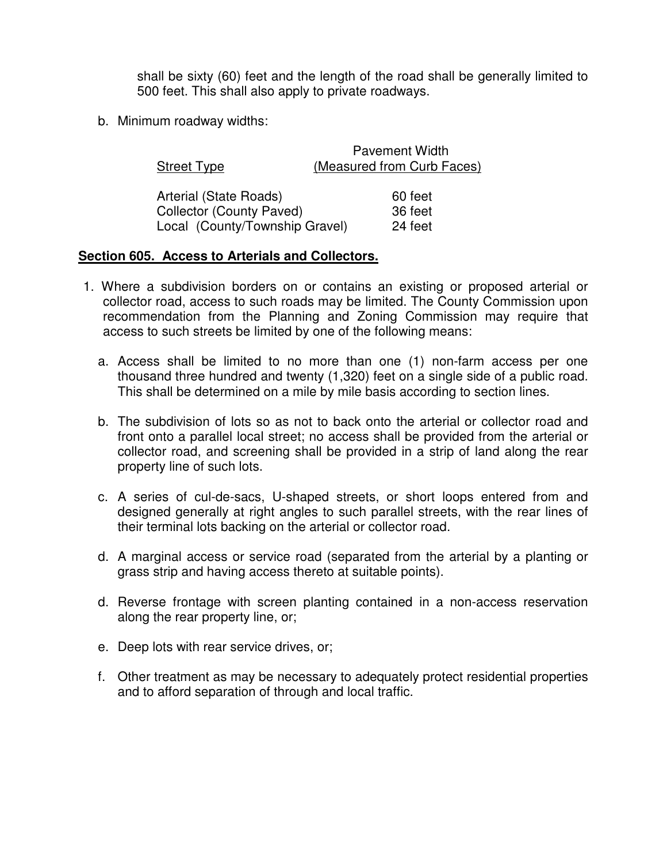shall be sixty (60) feet and the length of the road shall be generally limited to 500 feet. This shall also apply to private roadways.

b. Minimum roadway widths:

| <b>Street Type</b>              | <b>Pavement Width</b><br>(Measured from Curb Faces) |
|---------------------------------|-----------------------------------------------------|
| Arterial (State Roads)          | 60 feet                                             |
| <b>Collector (County Paved)</b> | 36 feet                                             |
| Local (County/Township Gravel)  | 24 feet                                             |

#### **Section 605. Access to Arterials and Collectors.**

- 1. Where a subdivision borders on or contains an existing or proposed arterial or collector road, access to such roads may be limited. The County Commission upon recommendation from the Planning and Zoning Commission may require that access to such streets be limited by one of the following means:
	- a. Access shall be limited to no more than one (1) non-farm access per one thousand three hundred and twenty (1,320) feet on a single side of a public road. This shall be determined on a mile by mile basis according to section lines.
	- b. The subdivision of lots so as not to back onto the arterial or collector road and front onto a parallel local street; no access shall be provided from the arterial or collector road, and screening shall be provided in a strip of land along the rear property line of such lots.
	- c. A series of cul-de-sacs, U-shaped streets, or short loops entered from and designed generally at right angles to such parallel streets, with the rear lines of their terminal lots backing on the arterial or collector road.
	- d. A marginal access or service road (separated from the arterial by a planting or grass strip and having access thereto at suitable points).
	- d. Reverse frontage with screen planting contained in a non-access reservation along the rear property line, or;
	- e. Deep lots with rear service drives, or;
	- f. Other treatment as may be necessary to adequately protect residential properties and to afford separation of through and local traffic.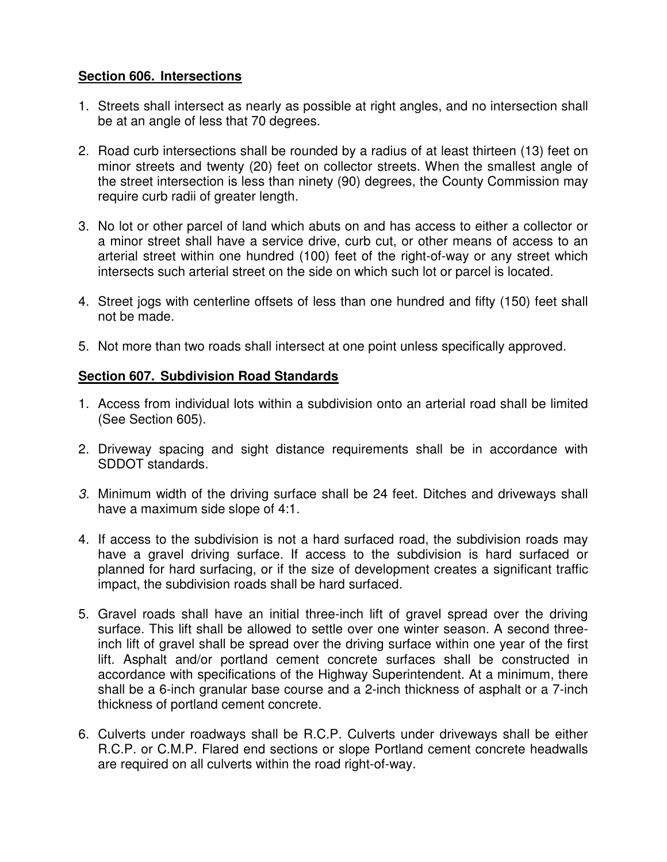## **Section 606. Intersections**

- 1. Streets shall intersect as nearly as possible at right angles, and no intersection shall be at an angle of less that 70 degrees.
- 2. Road curb intersections shall be rounded by a radius of at least thirteen (13) feet on minor streets and twenty (20) feet on collector streets. When the smallest angle of the street intersection is less than ninety (90) degrees, the County Commission may require curb radii of greater length.
- 3. No lot or other parcel of land which abuts on and has access to either a collector or a minor street shall have a service drive, curb cut, or other means of access to an arterial street within one hundred (100) feet of the right-of-way or any street which intersects such arterial street on the side on which such lot or parcel is located.
- 4. Street jogs with centerline offsets of less than one hundred and fifty (150) feet shall not be made.
- 5. Not more than two roads shall intersect at one point unless specifically approved.

## **Section 607. Subdivision Road Standards**

- 1. Access from individual lots within a subdivision onto an arterial road shall be limited (See Section 605).
- 2. Driveway spacing and sight distance requirements shall be in accordance with SDDOT standards.
- *3.* Minimum width of the driving surface shall be 24 feet. Ditches and driveways shall have a maximum side slope of 4:1.
- 4. If access to the subdivision is not a hard surfaced road, the subdivision roads may have a gravel driving surface. If access to the subdivision is hard surfaced or planned for hard surfacing, or if the size of development creates a significant traffic impact, the subdivision roads shall be hard surfaced.
- 5. Gravel roads shall have an initial three-inch lift of gravel spread over the driving surface. This lift shall be allowed to settle over one winter season. A second threeinch lift of gravel shall be spread over the driving surface within one year of the first lift. Asphalt and/or portland cement concrete surfaces shall be constructed in accordance with specifications of the Highway Superintendent. At a minimum, there shall be a 6-inch granular base course and a 2-inch thickness of asphalt or a 7-inch thickness of portland cement concrete.
- 6. Culverts under roadways shall be R.C.P. Culverts under driveways shall be either R.C.P. or C.M.P. Flared end sections or slope Portland cement concrete headwalls are required on all culverts within the road right-of-way.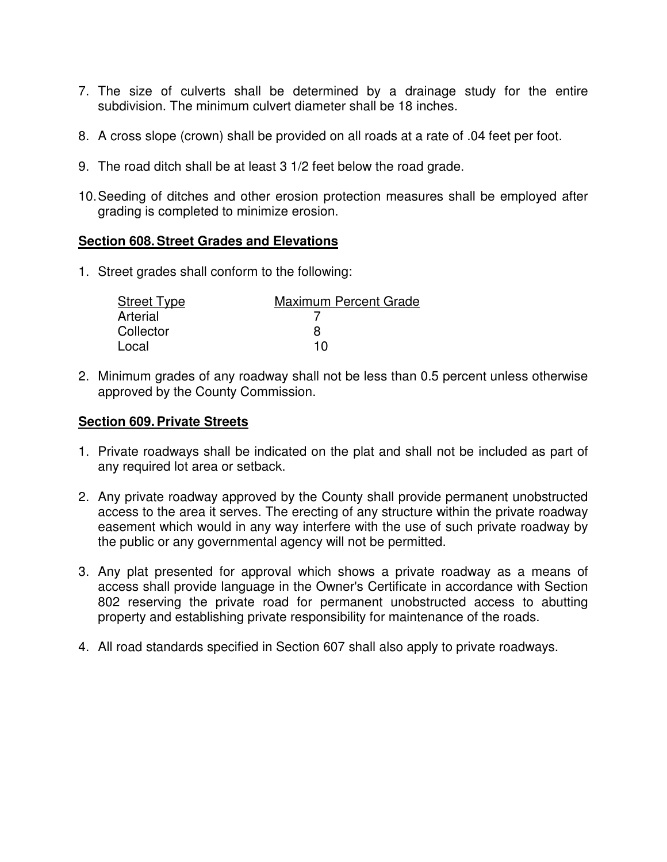- 7. The size of culverts shall be determined by a drainage study for the entire subdivision. The minimum culvert diameter shall be 18 inches.
- 8. A cross slope (crown) shall be provided on all roads at a rate of .04 feet per foot.
- 9. The road ditch shall be at least 3 1/2 feet below the road grade.
- 10.Seeding of ditches and other erosion protection measures shall be employed after grading is completed to minimize erosion.

### **Section 608.Street Grades and Elevations**

1. Street grades shall conform to the following:

| Street Type | <b>Maximum Percent Grade</b> |
|-------------|------------------------------|
| Arterial    |                              |
| Collector   |                              |
| Local       | 1 N                          |

2. Minimum grades of any roadway shall not be less than 0.5 percent unless otherwise approved by the County Commission.

#### **Section 609.Private Streets**

- 1. Private roadways shall be indicated on the plat and shall not be included as part of any required lot area or setback.
- 2. Any private roadway approved by the County shall provide permanent unobstructed access to the area it serves. The erecting of any structure within the private roadway easement which would in any way interfere with the use of such private roadway by the public or any governmental agency will not be permitted.
- 3. Any plat presented for approval which shows a private roadway as a means of access shall provide language in the Owner's Certificate in accordance with Section 802 reserving the private road for permanent unobstructed access to abutting property and establishing private responsibility for maintenance of the roads.
- 4. All road standards specified in Section 607 shall also apply to private roadways.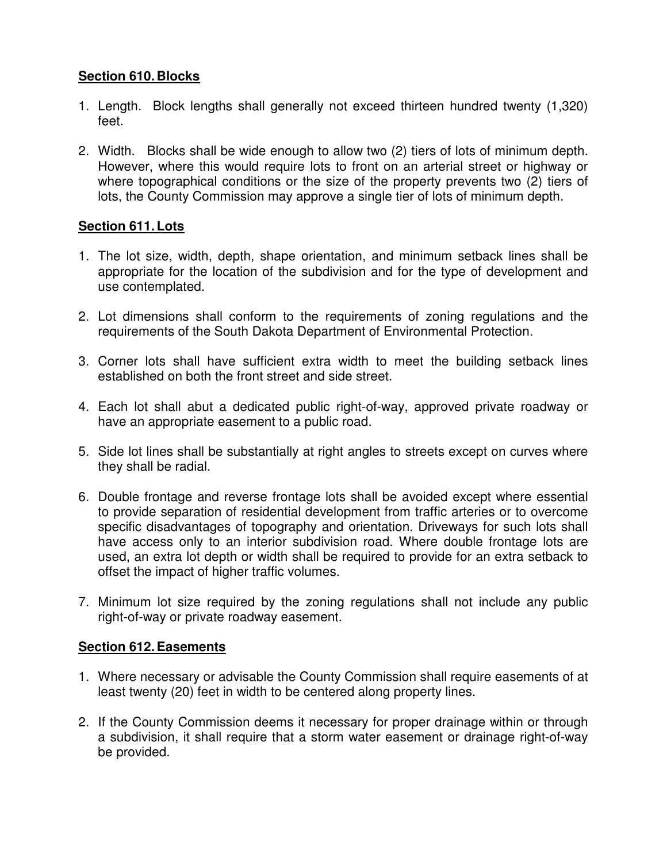# **Section 610. Blocks**

- 1. Length. Block lengths shall generally not exceed thirteen hundred twenty (1,320) feet.
- 2. Width. Blocks shall be wide enough to allow two (2) tiers of lots of minimum depth. However, where this would require lots to front on an arterial street or highway or where topographical conditions or the size of the property prevents two (2) tiers of lots, the County Commission may approve a single tier of lots of minimum depth.

# **Section 611.Lots**

- 1. The lot size, width, depth, shape orientation, and minimum setback lines shall be appropriate for the location of the subdivision and for the type of development and use contemplated.
- 2. Lot dimensions shall conform to the requirements of zoning regulations and the requirements of the South Dakota Department of Environmental Protection.
- 3. Corner lots shall have sufficient extra width to meet the building setback lines established on both the front street and side street.
- 4. Each lot shall abut a dedicated public right-of-way, approved private roadway or have an appropriate easement to a public road.
- 5. Side lot lines shall be substantially at right angles to streets except on curves where they shall be radial.
- 6. Double frontage and reverse frontage lots shall be avoided except where essential to provide separation of residential development from traffic arteries or to overcome specific disadvantages of topography and orientation. Driveways for such lots shall have access only to an interior subdivision road. Where double frontage lots are used, an extra lot depth or width shall be required to provide for an extra setback to offset the impact of higher traffic volumes.
- 7. Minimum lot size required by the zoning regulations shall not include any public right-of-way or private roadway easement.

## **Section 612.Easements**

- 1. Where necessary or advisable the County Commission shall require easements of at least twenty (20) feet in width to be centered along property lines.
- 2. If the County Commission deems it necessary for proper drainage within or through a subdivision, it shall require that a storm water easement or drainage right-of-way be provided.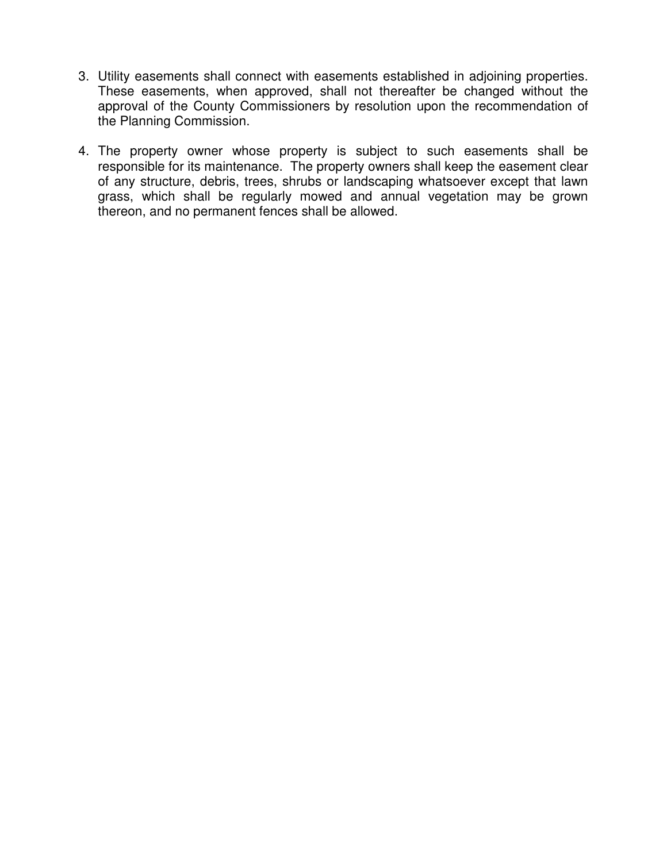- 3. Utility easements shall connect with easements established in adjoining properties. These easements, when approved, shall not thereafter be changed without the approval of the County Commissioners by resolution upon the recommendation of the Planning Commission.
- 4. The property owner whose property is subject to such easements shall be responsible for its maintenance. The property owners shall keep the easement clear of any structure, debris, trees, shrubs or landscaping whatsoever except that lawn grass, which shall be regularly mowed and annual vegetation may be grown thereon, and no permanent fences shall be allowed.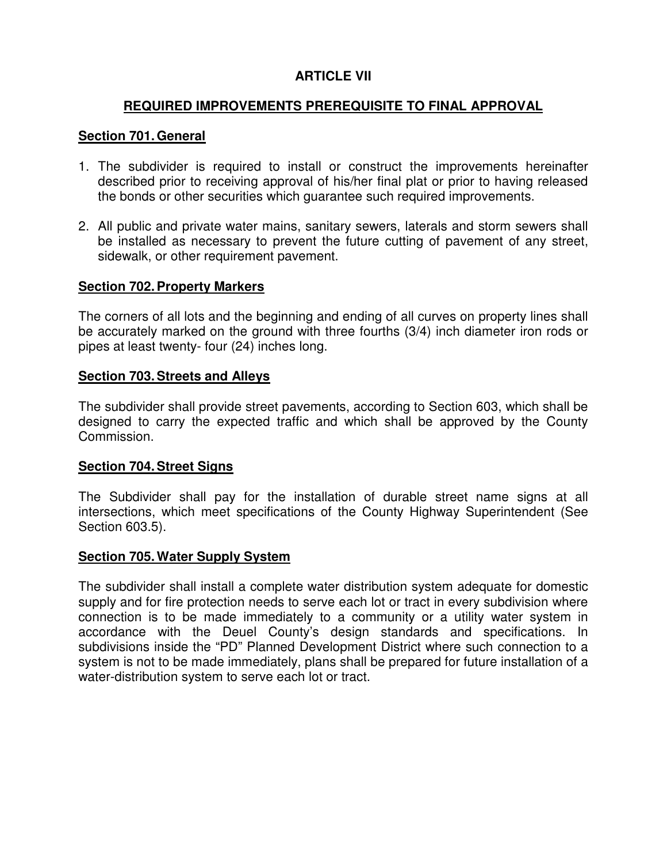# **ARTICLE VII**

### **REQUIRED IMPROVEMENTS PREREQUISITE TO FINAL APPROVAL**

### **Section 701.General**

- 1. The subdivider is required to install or construct the improvements hereinafter described prior to receiving approval of his/her final plat or prior to having released the bonds or other securities which guarantee such required improvements.
- 2. All public and private water mains, sanitary sewers, laterals and storm sewers shall be installed as necessary to prevent the future cutting of pavement of any street, sidewalk, or other requirement pavement.

### **Section 702.Property Markers**

The corners of all lots and the beginning and ending of all curves on property lines shall be accurately marked on the ground with three fourths (3/4) inch diameter iron rods or pipes at least twenty- four (24) inches long.

#### **Section 703.Streets and Alleys**

The subdivider shall provide street pavements, according to Section 603, which shall be designed to carry the expected traffic and which shall be approved by the County Commission.

### **Section 704.Street Signs**

The Subdivider shall pay for the installation of durable street name signs at all intersections, which meet specifications of the County Highway Superintendent (See Section 603.5).

#### **Section 705.Water Supply System**

The subdivider shall install a complete water distribution system adequate for domestic supply and for fire protection needs to serve each lot or tract in every subdivision where connection is to be made immediately to a community or a utility water system in accordance with the Deuel County's design standards and specifications. In subdivisions inside the "PD" Planned Development District where such connection to a system is not to be made immediately, plans shall be prepared for future installation of a water-distribution system to serve each lot or tract.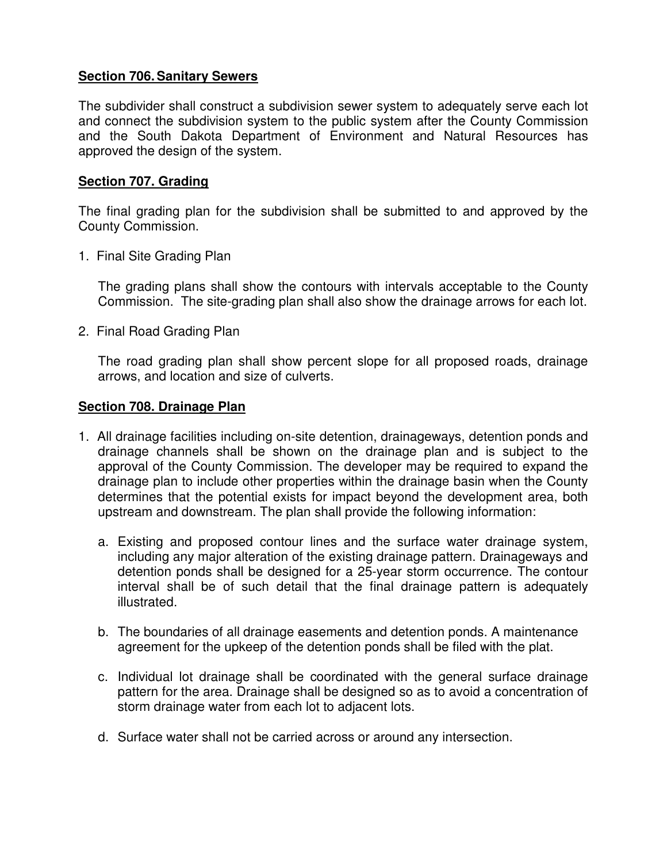## **Section 706.Sanitary Sewers**

The subdivider shall construct a subdivision sewer system to adequately serve each lot and connect the subdivision system to the public system after the County Commission and the South Dakota Department of Environment and Natural Resources has approved the design of the system.

### **Section 707. Grading**

The final grading plan for the subdivision shall be submitted to and approved by the County Commission.

1. Final Site Grading Plan

The grading plans shall show the contours with intervals acceptable to the County Commission. The site-grading plan shall also show the drainage arrows for each lot.

2. Final Road Grading Plan

The road grading plan shall show percent slope for all proposed roads, drainage arrows, and location and size of culverts.

### **Section 708. Drainage Plan**

- 1. All drainage facilities including on-site detention, drainageways, detention ponds and drainage channels shall be shown on the drainage plan and is subject to the approval of the County Commission. The developer may be required to expand the drainage plan to include other properties within the drainage basin when the County determines that the potential exists for impact beyond the development area, both upstream and downstream. The plan shall provide the following information:
	- a. Existing and proposed contour lines and the surface water drainage system, including any major alteration of the existing drainage pattern. Drainageways and detention ponds shall be designed for a 25-year storm occurrence. The contour interval shall be of such detail that the final drainage pattern is adequately illustrated.
	- b. The boundaries of all drainage easements and detention ponds. A maintenance agreement for the upkeep of the detention ponds shall be filed with the plat.
	- c. Individual lot drainage shall be coordinated with the general surface drainage pattern for the area. Drainage shall be designed so as to avoid a concentration of storm drainage water from each lot to adjacent lots.
	- d. Surface water shall not be carried across or around any intersection.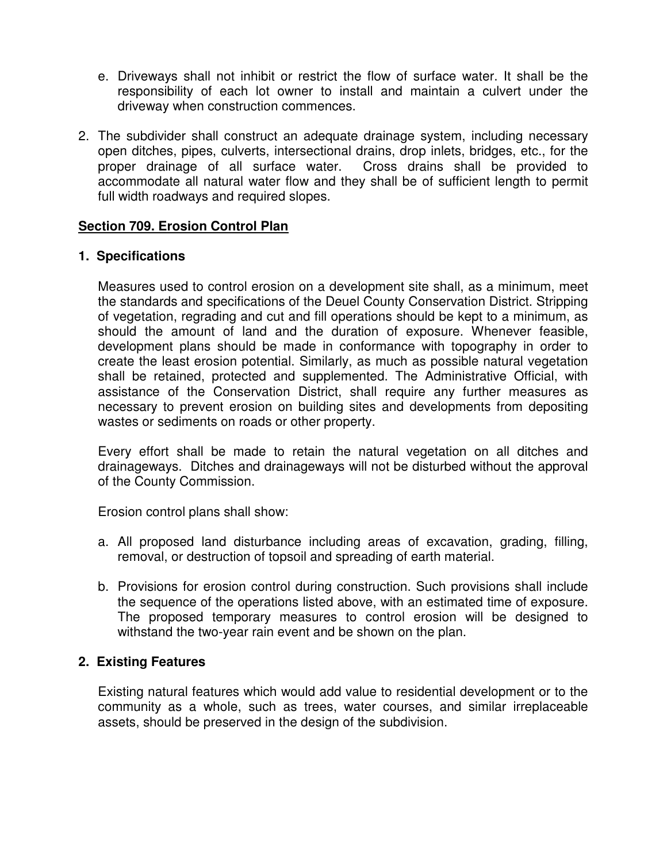- e. Driveways shall not inhibit or restrict the flow of surface water. It shall be the responsibility of each lot owner to install and maintain a culvert under the driveway when construction commences.
- 2. The subdivider shall construct an adequate drainage system, including necessary open ditches, pipes, culverts, intersectional drains, drop inlets, bridges, etc., for the proper drainage of all surface water. Cross drains shall be provided to accommodate all natural water flow and they shall be of sufficient length to permit full width roadways and required slopes.

## **Section 709. Erosion Control Plan**

## **1. Specifications**

Measures used to control erosion on a development site shall, as a minimum, meet the standards and specifications of the Deuel County Conservation District. Stripping of vegetation, regrading and cut and fill operations should be kept to a minimum, as should the amount of land and the duration of exposure. Whenever feasible, development plans should be made in conformance with topography in order to create the least erosion potential. Similarly, as much as possible natural vegetation shall be retained, protected and supplemented. The Administrative Official, with assistance of the Conservation District, shall require any further measures as necessary to prevent erosion on building sites and developments from depositing wastes or sediments on roads or other property.

Every effort shall be made to retain the natural vegetation on all ditches and drainageways. Ditches and drainageways will not be disturbed without the approval of the County Commission.

Erosion control plans shall show:

- a. All proposed land disturbance including areas of excavation, grading, filling, removal, or destruction of topsoil and spreading of earth material.
- b. Provisions for erosion control during construction. Such provisions shall include the sequence of the operations listed above, with an estimated time of exposure. The proposed temporary measures to control erosion will be designed to withstand the two-year rain event and be shown on the plan.

## **2. Existing Features**

Existing natural features which would add value to residential development or to the community as a whole, such as trees, water courses, and similar irreplaceable assets, should be preserved in the design of the subdivision.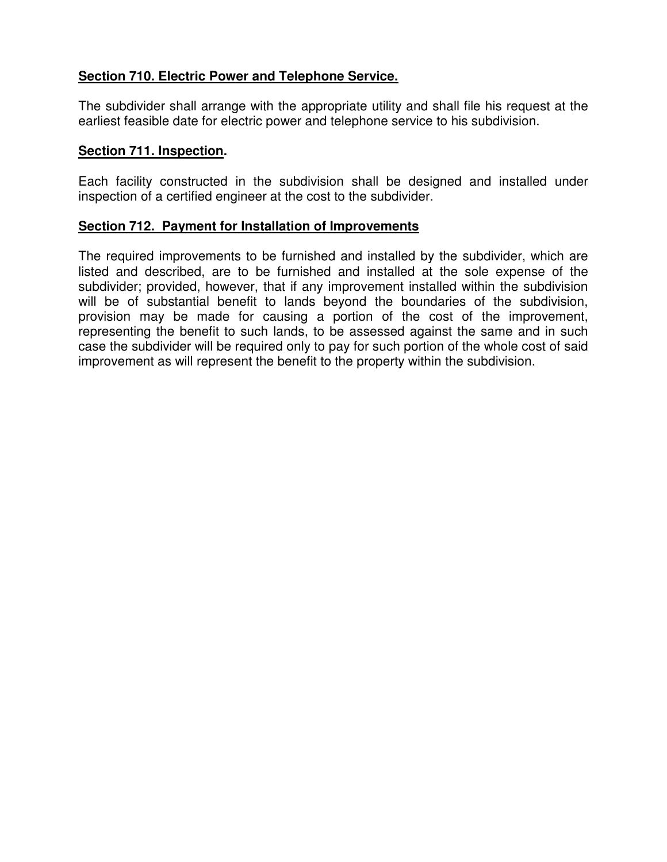# **Section 710. Electric Power and Telephone Service.**

The subdivider shall arrange with the appropriate utility and shall file his request at the earliest feasible date for electric power and telephone service to his subdivision.

### **Section 711. Inspection.**

Each facility constructed in the subdivision shall be designed and installed under inspection of a certified engineer at the cost to the subdivider.

## **Section 712. Payment for Installation of Improvements**

The required improvements to be furnished and installed by the subdivider, which are listed and described, are to be furnished and installed at the sole expense of the subdivider; provided, however, that if any improvement installed within the subdivision will be of substantial benefit to lands beyond the boundaries of the subdivision, provision may be made for causing a portion of the cost of the improvement, representing the benefit to such lands, to be assessed against the same and in such case the subdivider will be required only to pay for such portion of the whole cost of said improvement as will represent the benefit to the property within the subdivision.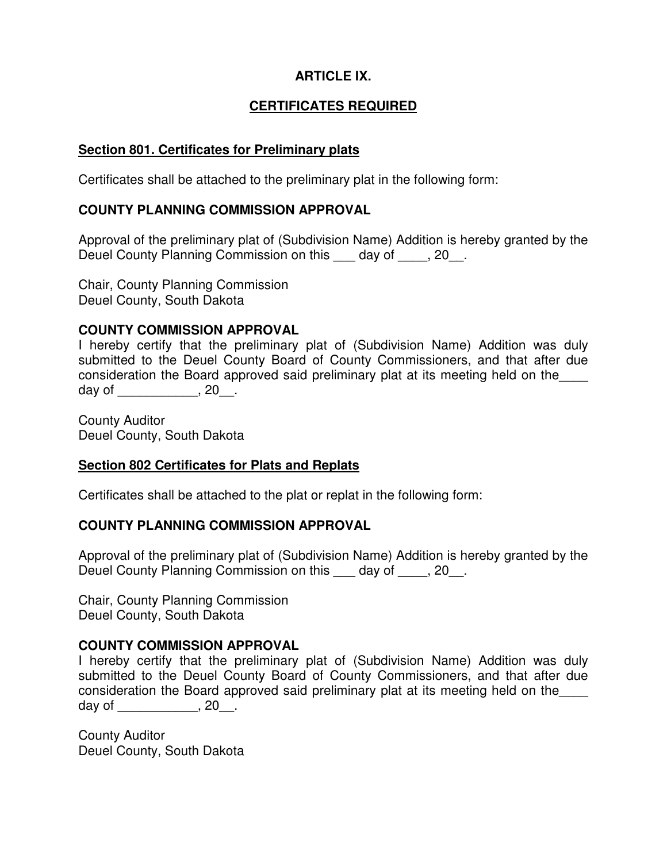# **ARTICLE IX.**

# **CERTIFICATES REQUIRED**

### **Section 801. Certificates for Preliminary plats**

Certificates shall be attached to the preliminary plat in the following form:

## **COUNTY PLANNING COMMISSION APPROVAL**

Approval of the preliminary plat of (Subdivision Name) Addition is hereby granted by the Deuel County Planning Commission on this day of , 20.

Chair, County Planning Commission Deuel County, South Dakota

### **COUNTY COMMISSION APPROVAL**

I hereby certify that the preliminary plat of (Subdivision Name) Addition was duly submitted to the Deuel County Board of County Commissioners, and that after due consideration the Board approved said preliminary plat at its meeting held on the\_\_\_\_ day of \_\_\_\_\_\_\_\_\_\_\_, 20\_\_.

County Auditor Deuel County, South Dakota

### **Section 802 Certificates for Plats and Replats**

Certificates shall be attached to the plat or replat in the following form:

### **COUNTY PLANNING COMMISSION APPROVAL**

Approval of the preliminary plat of (Subdivision Name) Addition is hereby granted by the Deuel County Planning Commission on this day of , 20.

Chair, County Planning Commission Deuel County, South Dakota

### **COUNTY COMMISSION APPROVAL**

I hereby certify that the preliminary plat of (Subdivision Name) Addition was duly submitted to the Deuel County Board of County Commissioners, and that after due consideration the Board approved said preliminary plat at its meeting held on the\_\_\_\_ day of \_\_\_\_\_\_\_\_\_\_\_\_, 20\_\_\_.

County Auditor Deuel County, South Dakota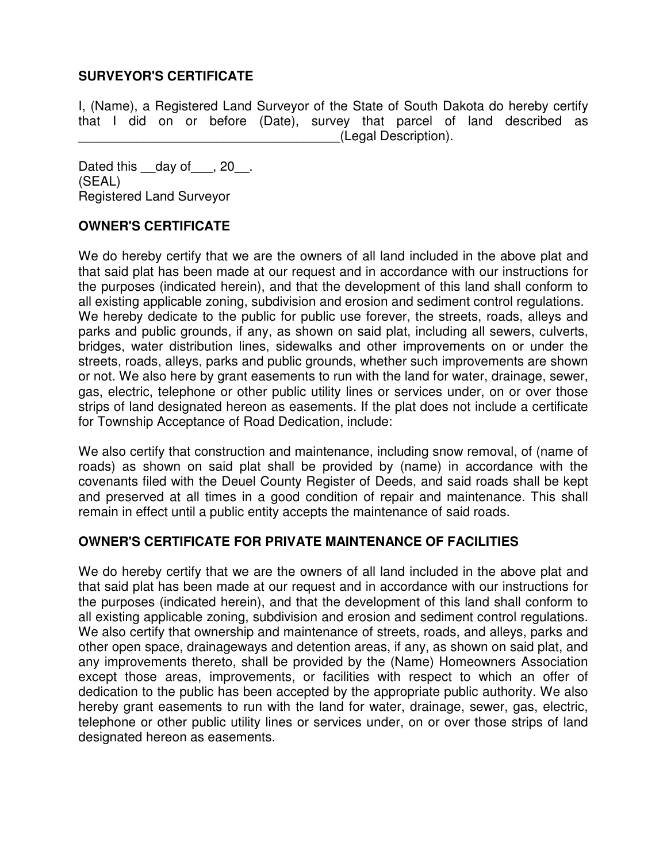## **SURVEYOR'S CERTIFICATE**

I, (Name), a Registered Land Surveyor of the State of South Dakota do hereby certify that I did on or before (Date), survey that parcel of land described as \_\_\_\_\_\_\_\_\_\_\_\_\_\_\_\_\_\_\_\_\_\_\_\_\_\_\_\_\_\_\_\_\_\_\_\_(Legal Description).

Dated this day of , 20. (SEAL) Registered Land Surveyor

## **OWNER'S CERTIFICATE**

We do hereby certify that we are the owners of all land included in the above plat and that said plat has been made at our request and in accordance with our instructions for the purposes (indicated herein), and that the development of this land shall conform to all existing applicable zoning, subdivision and erosion and sediment control regulations. We hereby dedicate to the public for public use forever, the streets, roads, alleys and parks and public grounds, if any, as shown on said plat, including all sewers, culverts, bridges, water distribution lines, sidewalks and other improvements on or under the streets, roads, alleys, parks and public grounds, whether such improvements are shown or not. We also here by grant easements to run with the land for water, drainage, sewer, gas, electric, telephone or other public utility lines or services under, on or over those strips of land designated hereon as easements. If the plat does not include a certificate for Township Acceptance of Road Dedication, include:

We also certify that construction and maintenance, including snow removal, of (name of roads) as shown on said plat shall be provided by (name) in accordance with the covenants filed with the Deuel County Register of Deeds, and said roads shall be kept and preserved at all times in a good condition of repair and maintenance. This shall remain in effect until a public entity accepts the maintenance of said roads.

### **OWNER'S CERTIFICATE FOR PRIVATE MAINTENANCE OF FACILITIES**

We do hereby certify that we are the owners of all land included in the above plat and that said plat has been made at our request and in accordance with our instructions for the purposes (indicated herein), and that the development of this land shall conform to all existing applicable zoning, subdivision and erosion and sediment control regulations. We also certify that ownership and maintenance of streets, roads, and alleys, parks and other open space, drainageways and detention areas, if any, as shown on said plat, and any improvements thereto, shall be provided by the (Name) Homeowners Association except those areas, improvements, or facilities with respect to which an offer of dedication to the public has been accepted by the appropriate public authority. We also hereby grant easements to run with the land for water, drainage, sewer, gas, electric, telephone or other public utility lines or services under, on or over those strips of land designated hereon as easements.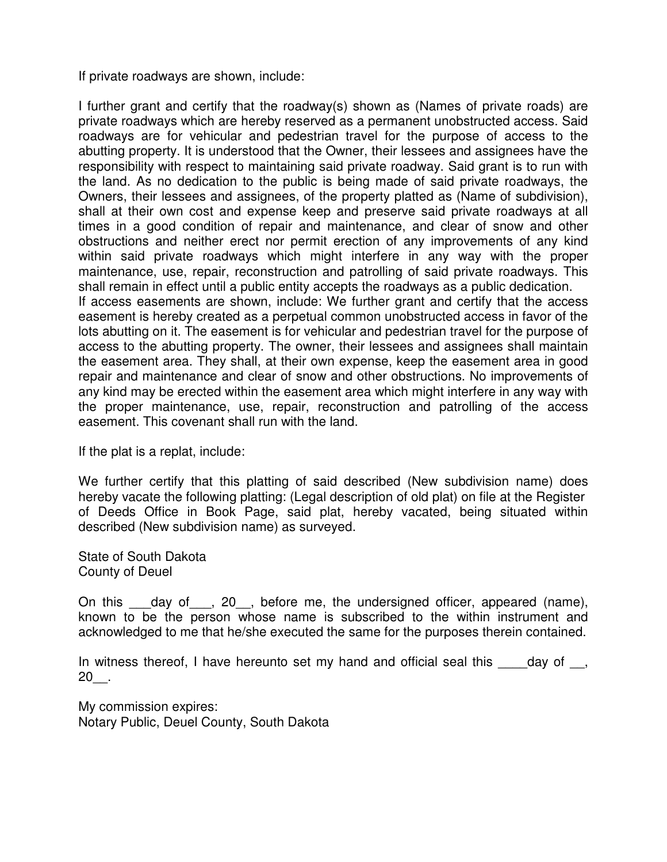If private roadways are shown, include:

I further grant and certify that the roadway(s) shown as (Names of private roads) are private roadways which are hereby reserved as a permanent unobstructed access. Said roadways are for vehicular and pedestrian travel for the purpose of access to the abutting property. It is understood that the Owner, their lessees and assignees have the responsibility with respect to maintaining said private roadway. Said grant is to run with the land. As no dedication to the public is being made of said private roadways, the Owners, their lessees and assignees, of the property platted as (Name of subdivision), shall at their own cost and expense keep and preserve said private roadways at all times in a good condition of repair and maintenance, and clear of snow and other obstructions and neither erect nor permit erection of any improvements of any kind within said private roadways which might interfere in any way with the proper maintenance, use, repair, reconstruction and patrolling of said private roadways. This shall remain in effect until a public entity accepts the roadways as a public dedication. If access easements are shown, include: We further grant and certify that the access easement is hereby created as a perpetual common unobstructed access in favor of the lots abutting on it. The easement is for vehicular and pedestrian travel for the purpose of access to the abutting property. The owner, their lessees and assignees shall maintain the easement area. They shall, at their own expense, keep the easement area in good repair and maintenance and clear of snow and other obstructions. No improvements of any kind may be erected within the easement area which might interfere in any way with the proper maintenance, use, repair, reconstruction and patrolling of the access easement. This covenant shall run with the land.

If the plat is a replat, include:

We further certify that this platting of said described (New subdivision name) does hereby vacate the following platting: (Legal description of old plat) on file at the Register of Deeds Office in Book Page, said plat, hereby vacated, being situated within described (New subdivision name) as surveyed.

State of South Dakota County of Deuel

On this \_\_\_day of\_\_\_, 20\_\_, before me, the undersigned officer, appeared (name), known to be the person whose name is subscribed to the within instrument and acknowledged to me that he/she executed the same for the purposes therein contained.

In witness thereof, I have hereunto set my hand and official seal this day of , 20\_\_.

My commission expires: Notary Public, Deuel County, South Dakota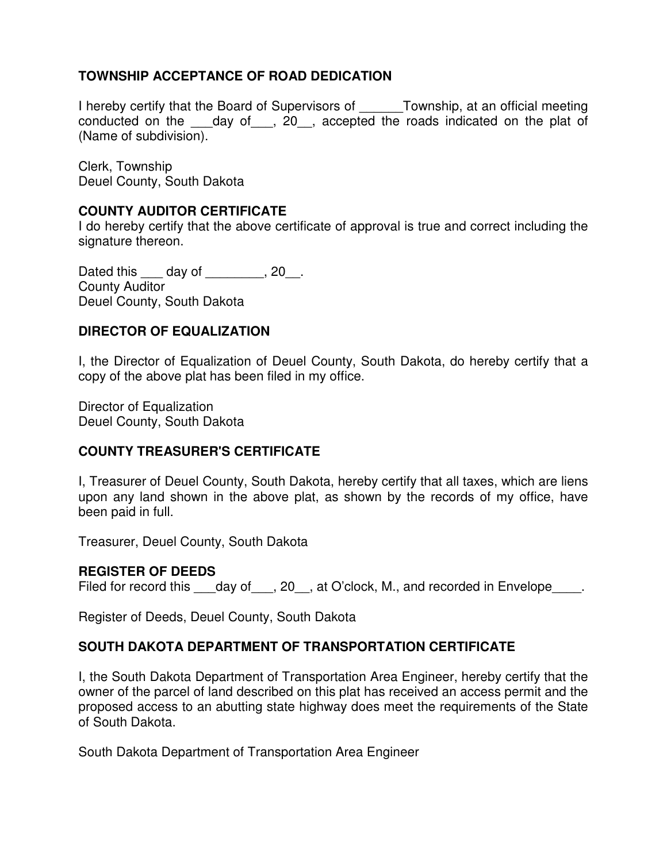# **TOWNSHIP ACCEPTANCE OF ROAD DEDICATION**

I hereby certify that the Board of Supervisors of \_\_\_\_\_\_Township, at an official meeting conducted on the day of, 20, accepted the roads indicated on the plat of (Name of subdivision).

Clerk, Township Deuel County, South Dakota

## **COUNTY AUDITOR CERTIFICATE**

I do hereby certify that the above certificate of approval is true and correct including the signature thereon.

Dated this \_\_\_\_ day of \_\_\_\_\_\_\_\_, 20\_\_. County Auditor Deuel County, South Dakota

## **DIRECTOR OF EQUALIZATION**

I, the Director of Equalization of Deuel County, South Dakota, do hereby certify that a copy of the above plat has been filed in my office.

Director of Equalization Deuel County, South Dakota

### **COUNTY TREASURER'S CERTIFICATE**

I, Treasurer of Deuel County, South Dakota, hereby certify that all taxes, which are liens upon any land shown in the above plat, as shown by the records of my office, have been paid in full.

Treasurer, Deuel County, South Dakota

### **REGISTER OF DEEDS**

Filed for record this day of, 20, at O'clock, M., and recorded in Envelope.

Register of Deeds, Deuel County, South Dakota

### **SOUTH DAKOTA DEPARTMENT OF TRANSPORTATION CERTIFICATE**

I, the South Dakota Department of Transportation Area Engineer, hereby certify that the owner of the parcel of land described on this plat has received an access permit and the proposed access to an abutting state highway does meet the requirements of the State of South Dakota.

South Dakota Department of Transportation Area Engineer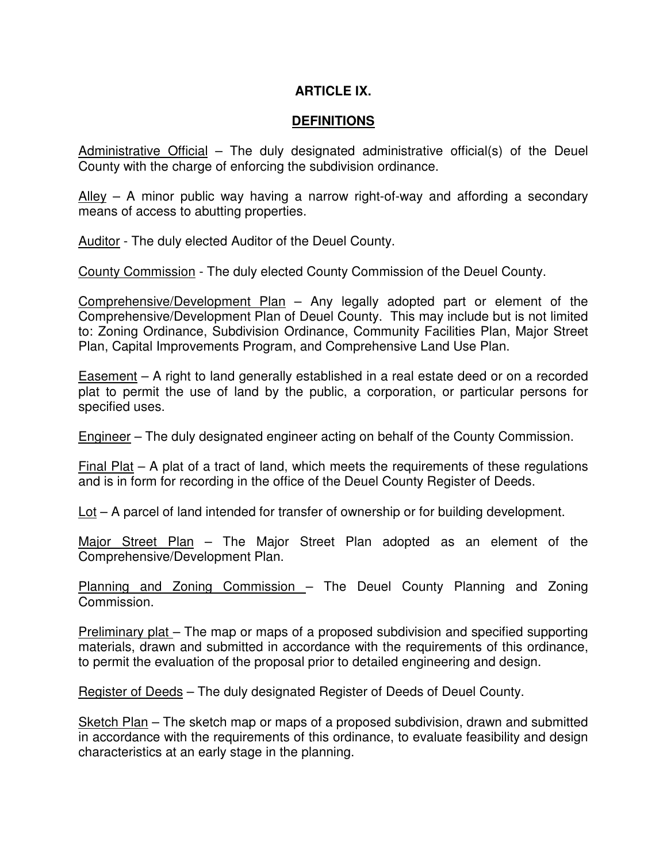## **ARTICLE IX.**

### **DEFINITIONS**

Administrative Official – The duly designated administrative official(s) of the Deuel County with the charge of enforcing the subdivision ordinance.

 $\Delta$ lley – A minor public way having a narrow right-of-way and affording a secondary means of access to abutting properties.

Auditor - The duly elected Auditor of the Deuel County.

County Commission - The duly elected County Commission of the Deuel County.

Comprehensive/Development Plan – Any legally adopted part or element of the Comprehensive/Development Plan of Deuel County. This may include but is not limited to: Zoning Ordinance, Subdivision Ordinance, Community Facilities Plan, Major Street Plan, Capital Improvements Program, and Comprehensive Land Use Plan.

Easement – A right to land generally established in a real estate deed or on a recorded plat to permit the use of land by the public, a corporation, or particular persons for specified uses.

Engineer – The duly designated engineer acting on behalf of the County Commission.

Final Plat  $-$  A plat of a tract of land, which meets the requirements of these regulations and is in form for recording in the office of the Deuel County Register of Deeds.

Lot – A parcel of land intended for transfer of ownership or for building development.

Major Street Plan – The Major Street Plan adopted as an element of the Comprehensive/Development Plan.

Planning and Zoning Commission – The Deuel County Planning and Zoning Commission.

Preliminary plat - The map or maps of a proposed subdivision and specified supporting materials, drawn and submitted in accordance with the requirements of this ordinance, to permit the evaluation of the proposal prior to detailed engineering and design.

Register of Deeds – The duly designated Register of Deeds of Deuel County.

Sketch Plan – The sketch map or maps of a proposed subdivision, drawn and submitted in accordance with the requirements of this ordinance, to evaluate feasibility and design characteristics at an early stage in the planning.